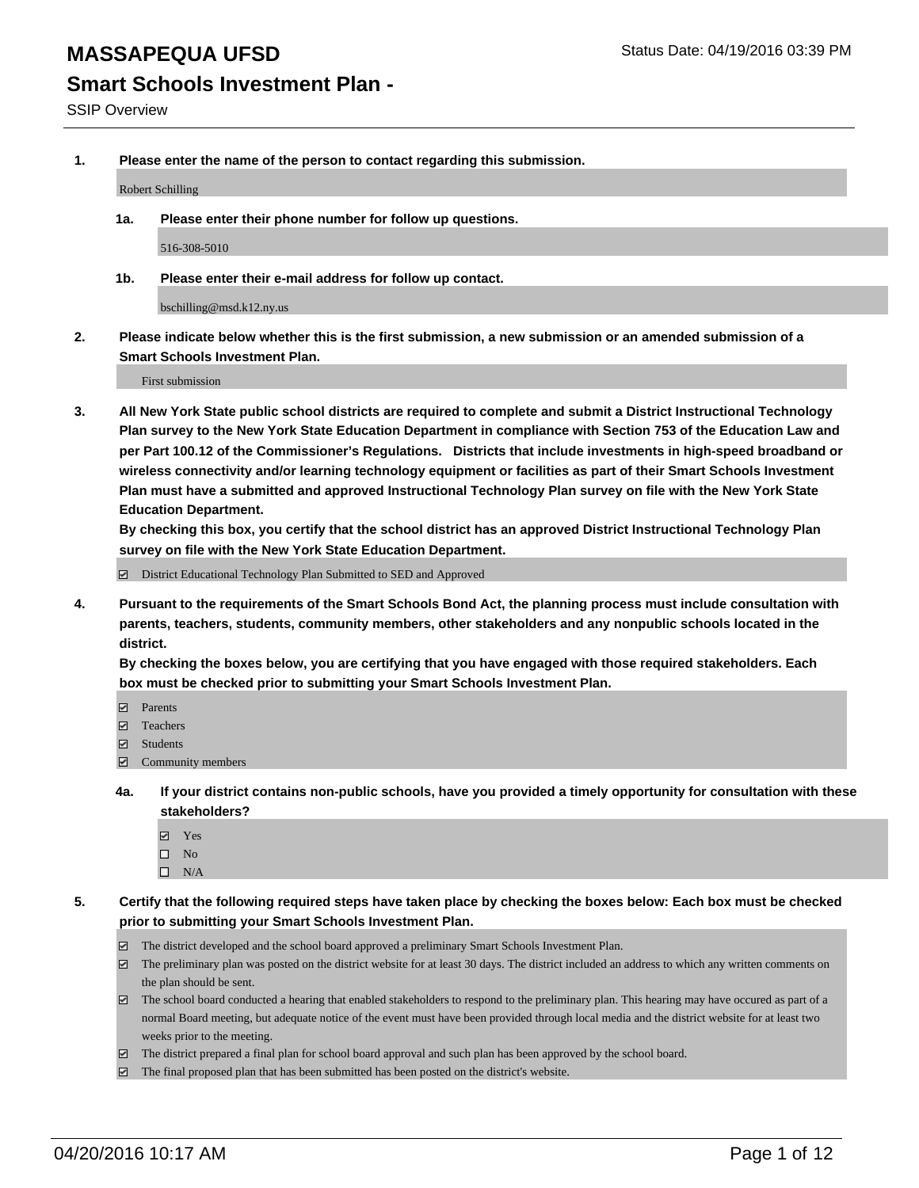## **Smart Schools Investment Plan -**

**1. Please enter the name of the person to contact regarding this submission.**

Robert Schilling

**1a. Please enter their phone number for follow up questions.**

516-308-5010

**1b. Please enter their e-mail address for follow up contact.**

bschilling@msd.k12.ny.us

**2. Please indicate below whether this is the first submission, a new submission or an amended submission of a Smart Schools Investment Plan.**

First submission

**3. All New York State public school districts are required to complete and submit a District Instructional Technology Plan survey to the New York State Education Department in compliance with Section 753 of the Education Law and per Part 100.12 of the Commissioner's Regulations. Districts that include investments in high-speed broadband or wireless connectivity and/or learning technology equipment or facilities as part of their Smart Schools Investment Plan must have a submitted and approved Instructional Technology Plan survey on file with the New York State Education Department.** 

**By checking this box, you certify that the school district has an approved District Instructional Technology Plan survey on file with the New York State Education Department.**

■ District Educational Technology Plan Submitted to SED and Approved

**4. Pursuant to the requirements of the Smart Schools Bond Act, the planning process must include consultation with parents, teachers, students, community members, other stakeholders and any nonpublic schools located in the district.** 

**By checking the boxes below, you are certifying that you have engaged with those required stakeholders. Each box must be checked prior to submitting your Smart Schools Investment Plan.**

- **Parents**
- □ Teachers
- Students
- $\boxdot$  Community members
- **4a. If your district contains non-public schools, have you provided a timely opportunity for consultation with these stakeholders?**
	- Yes
	- $\square$  No
	- $\Box$  N/A
- **5. Certify that the following required steps have taken place by checking the boxes below: Each box must be checked prior to submitting your Smart Schools Investment Plan.**
	- The district developed and the school board approved a preliminary Smart Schools Investment Plan.
	- The preliminary plan was posted on the district website for at least 30 days. The district included an address to which any written comments on the plan should be sent.
	- $\Box$  The school board conducted a hearing that enabled stakeholders to respond to the preliminary plan. This hearing may have occured as part of a normal Board meeting, but adequate notice of the event must have been provided through local media and the district website for at least two weeks prior to the meeting.
	- The district prepared a final plan for school board approval and such plan has been approved by the school board.
	- The final proposed plan that has been submitted has been posted on the district's website.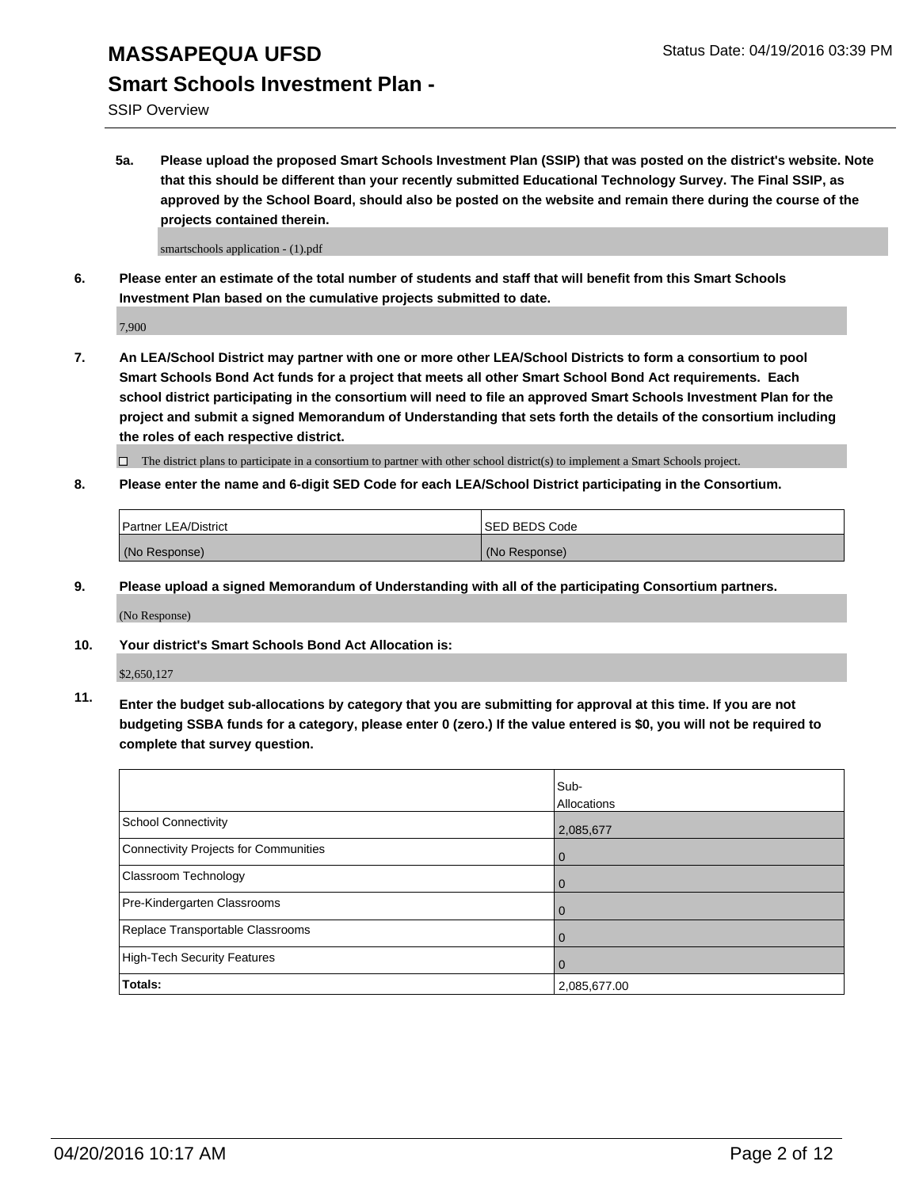## **Smart Schools Investment Plan -**

SSIP Overview

**5a. Please upload the proposed Smart Schools Investment Plan (SSIP) that was posted on the district's website. Note that this should be different than your recently submitted Educational Technology Survey. The Final SSIP, as approved by the School Board, should also be posted on the website and remain there during the course of the projects contained therein.**

smartschools application - (1).pdf

**6. Please enter an estimate of the total number of students and staff that will benefit from this Smart Schools Investment Plan based on the cumulative projects submitted to date.**

7,900

**7. An LEA/School District may partner with one or more other LEA/School Districts to form a consortium to pool Smart Schools Bond Act funds for a project that meets all other Smart School Bond Act requirements. Each school district participating in the consortium will need to file an approved Smart Schools Investment Plan for the project and submit a signed Memorandum of Understanding that sets forth the details of the consortium including the roles of each respective district.**

 $\Box$  The district plans to participate in a consortium to partner with other school district(s) to implement a Smart Schools project.

**8. Please enter the name and 6-digit SED Code for each LEA/School District participating in the Consortium.**

| Partner LEA/District | <b>ISED BEDS Code</b> |
|----------------------|-----------------------|
| (No Response)        | (No Response)         |

**9. Please upload a signed Memorandum of Understanding with all of the participating Consortium partners.**

(No Response)

**10. Your district's Smart Schools Bond Act Allocation is:**

\$2,650,127

**11. Enter the budget sub-allocations by category that you are submitting for approval at this time. If you are not budgeting SSBA funds for a category, please enter 0 (zero.) If the value entered is \$0, you will not be required to complete that survey question.**

|                                       | Sub-<br>Allocations |
|---------------------------------------|---------------------|
| <b>School Connectivity</b>            | 2,085,677           |
| Connectivity Projects for Communities | 0                   |
| <b>Classroom Technology</b>           | 0                   |
| Pre-Kindergarten Classrooms           | 0                   |
| Replace Transportable Classrooms      | 0                   |
| High-Tech Security Features           | 0                   |
| <b>Totals:</b>                        | 2,085,677.00        |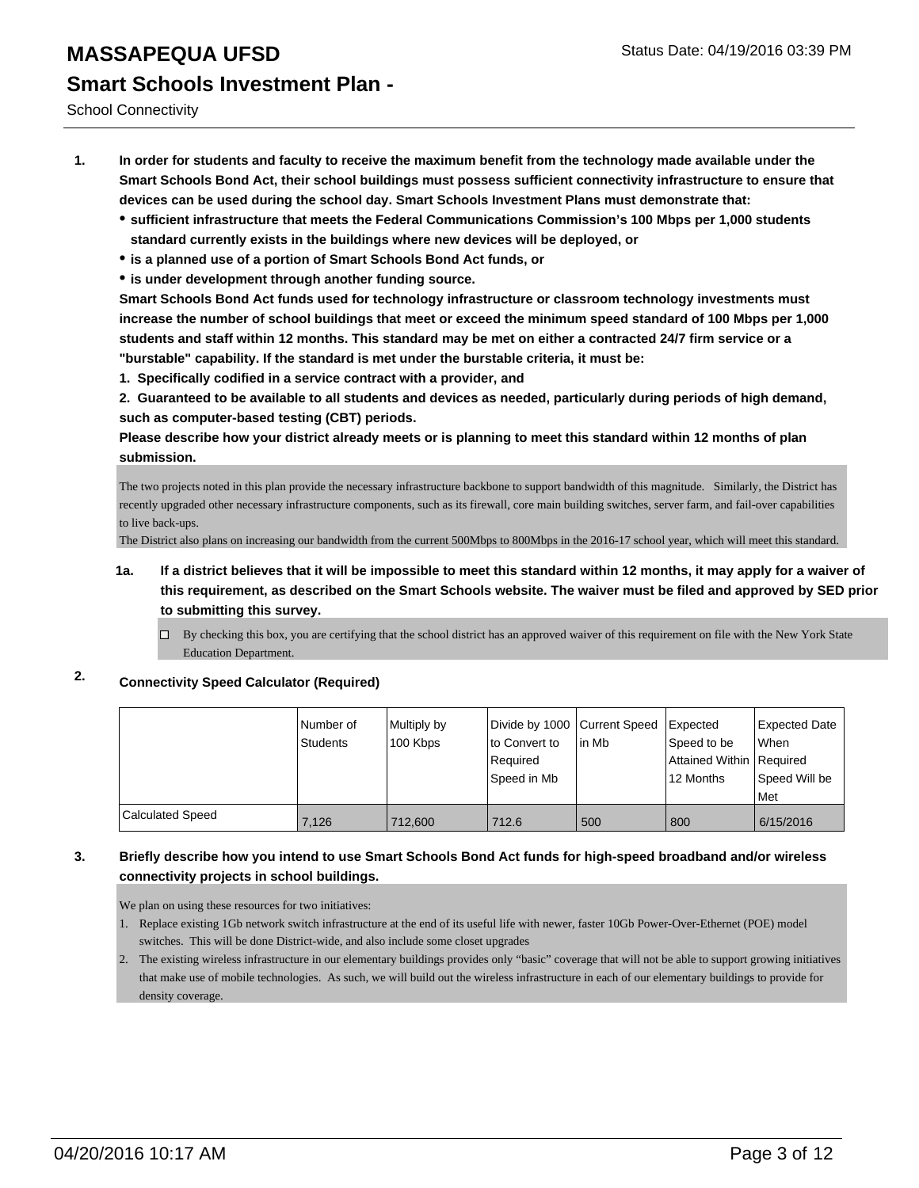School Connectivity

- **1. In order for students and faculty to receive the maximum benefit from the technology made available under the Smart Schools Bond Act, their school buildings must possess sufficient connectivity infrastructure to ensure that devices can be used during the school day. Smart Schools Investment Plans must demonstrate that:**
	- **sufficient infrastructure that meets the Federal Communications Commission's 100 Mbps per 1,000 students standard currently exists in the buildings where new devices will be deployed, or**
	- **is a planned use of a portion of Smart Schools Bond Act funds, or**
	- **is under development through another funding source.**

**Smart Schools Bond Act funds used for technology infrastructure or classroom technology investments must increase the number of school buildings that meet or exceed the minimum speed standard of 100 Mbps per 1,000 students and staff within 12 months. This standard may be met on either a contracted 24/7 firm service or a "burstable" capability. If the standard is met under the burstable criteria, it must be:**

**1. Specifically codified in a service contract with a provider, and**

**2. Guaranteed to be available to all students and devices as needed, particularly during periods of high demand, such as computer-based testing (CBT) periods.**

**Please describe how your district already meets or is planning to meet this standard within 12 months of plan submission.**

The two projects noted in this plan provide the necessary infrastructure backbone to support bandwidth of this magnitude. Similarly, the District has recently upgraded other necessary infrastructure components, such as its firewall, core main building switches, server farm, and fail-over capabilities to live back-ups.

The District also plans on increasing our bandwidth from the current 500Mbps to 800Mbps in the 2016-17 school year, which will meet this standard.

- **1a. If a district believes that it will be impossible to meet this standard within 12 months, it may apply for a waiver of this requirement, as described on the Smart Schools website. The waiver must be filed and approved by SED prior to submitting this survey.**
	- By checking this box, you are certifying that the school district has an approved waiver of this requirement on file with the New York State Education Department.

## **2. Connectivity Speed Calculator (Required)**

|                  | Number of<br><b>Students</b> | Multiply by<br>100 Kbps | Divide by 1000 Current Speed<br>Ito Convert to<br>Required<br>l Speed in Mb | lin Mb | Expected<br>Speed to be<br>Attained Within Required<br>12 Months | Expected Date<br><b>When</b><br>Speed Will be<br>Met |
|------------------|------------------------------|-------------------------|-----------------------------------------------------------------------------|--------|------------------------------------------------------------------|------------------------------------------------------|
| Calculated Speed | 7.126                        | 712,600                 | 712.6                                                                       | 500    | 800                                                              | 6/15/2016                                            |

#### **3. Briefly describe how you intend to use Smart Schools Bond Act funds for high-speed broadband and/or wireless connectivity projects in school buildings.**

We plan on using these resources for two initiatives:

- 1. Replace existing 1Gb network switch infrastructure at the end of its useful life with newer, faster 10Gb Power-Over-Ethernet (POE) model switches. This will be done District-wide, and also include some closet upgrades
- The existing wireless infrastructure in our elementary buildings provides only "basic" coverage that will not be able to support growing initiatives 2. that make use of mobile technologies. As such, we will build out the wireless infrastructure in each of our elementary buildings to provide for density coverage.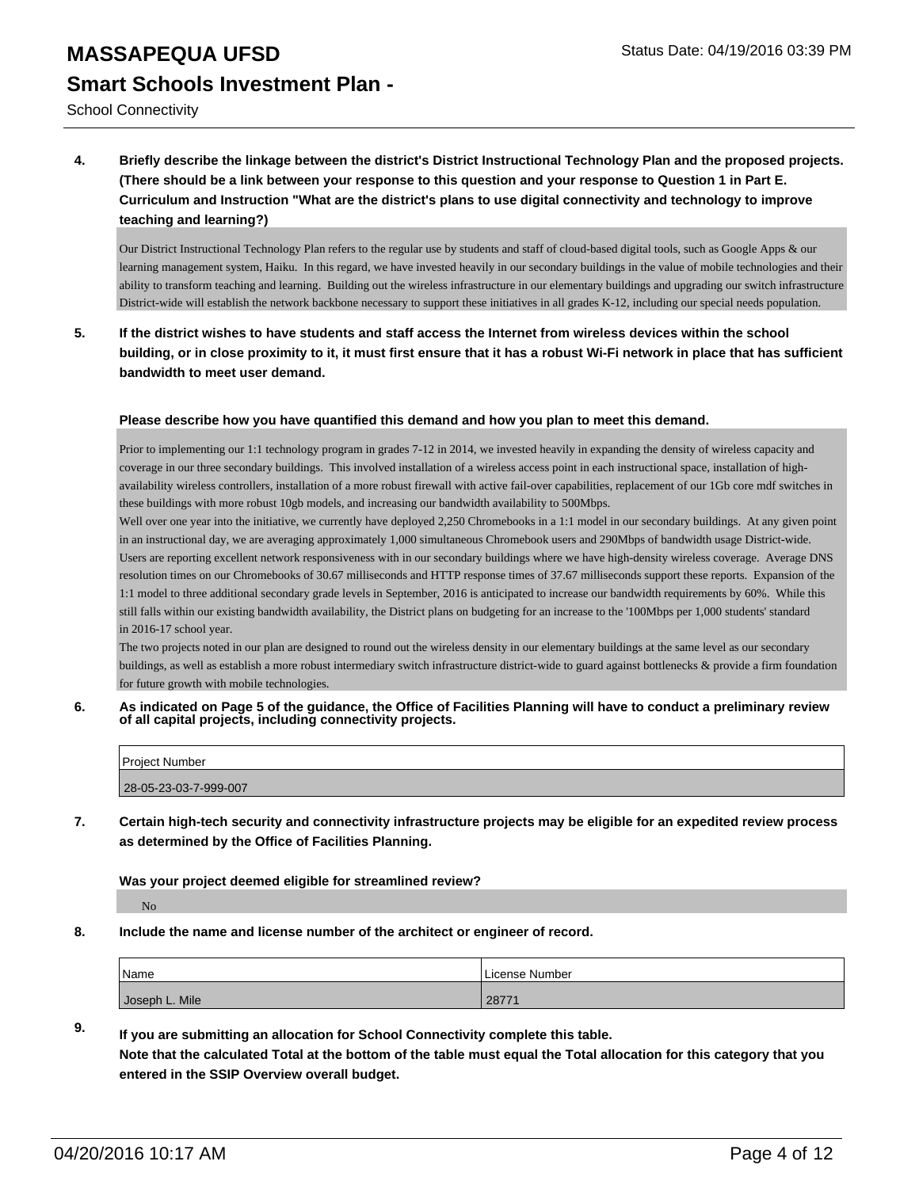School Connectivity

**4. Briefly describe the linkage between the district's District Instructional Technology Plan and the proposed projects. (There should be a link between your response to this question and your response to Question 1 in Part E. Curriculum and Instruction "What are the district's plans to use digital connectivity and technology to improve teaching and learning?)**

Our District Instructional Technology Plan refers to the regular use by students and staff of cloud-based digital tools, such as Google Apps & our learning management system, Haiku. In this regard, we have invested heavily in our secondary buildings in the value of mobile technologies and their ability to transform teaching and learning. Building out the wireless infrastructure in our elementary buildings and upgrading our switch infrastructure District-wide will establish the network backbone necessary to support these initiatives in all grades K-12, including our special needs population.

**5. If the district wishes to have students and staff access the Internet from wireless devices within the school building, or in close proximity to it, it must first ensure that it has a robust Wi-Fi network in place that has sufficient bandwidth to meet user demand.**

#### **Please describe how you have quantified this demand and how you plan to meet this demand.**

Prior to implementing our 1:1 technology program in grades 7-12 in 2014, we invested heavily in expanding the density of wireless capacity and coverage in our three secondary buildings. This involved installation of a wireless access point in each instructional space, installation of highavailability wireless controllers, installation of a more robust firewall with active fail-over capabilities, replacement of our 1Gb core mdf switches in these buildings with more robust 10gb models, and increasing our bandwidth availability to 500Mbps.

Well over one year into the initiative, we currently have deployed 2,250 Chromebooks in a 1:1 model in our secondary buildings. At any given point in an instructional day, we are averaging approximately 1,000 simultaneous Chromebook users and 290Mbps of bandwidth usage District-wide. Users are reporting excellent network responsiveness with in our secondary buildings where we have high-density wireless coverage. Average DNS resolution times on our Chromebooks of 30.67 milliseconds and HTTP response times of 37.67 milliseconds support these reports. Expansion of the 1:1 model to three additional secondary grade levels in September, 2016 is anticipated to increase our bandwidth requirements by 60%. While this still falls within our existing bandwidth availability, the District plans on budgeting for an increase to the '100Mbps per 1,000 students' standard in 2016-17 school year.

The two projects noted in our plan are designed to round out the wireless density in our elementary buildings at the same level as our secondary buildings, as well as establish a more robust intermediary switch infrastructure district-wide to guard against bottlenecks & provide a firm foundation for future growth with mobile technologies.

**6. As indicated on Page 5 of the guidance, the Office of Facilities Planning will have to conduct a preliminary review of all capital projects, including connectivity projects.**

| Project Number        |  |
|-----------------------|--|
|                       |  |
| 28-05-23-03-7-999-007 |  |
|                       |  |

**7. Certain high-tech security and connectivity infrastructure projects may be eligible for an expedited review process as determined by the Office of Facilities Planning.**

#### **Was your project deemed eligible for streamlined review?**

No

**8. Include the name and license number of the architect or engineer of record.**

| Name           | License Number |
|----------------|----------------|
| Joseph L. Mile | 28771          |

### **9. If you are submitting an allocation for School Connectivity complete this table. Note that the calculated Total at the bottom of the table must equal the Total allocation for this category that you entered in the SSIP Overview overall budget.**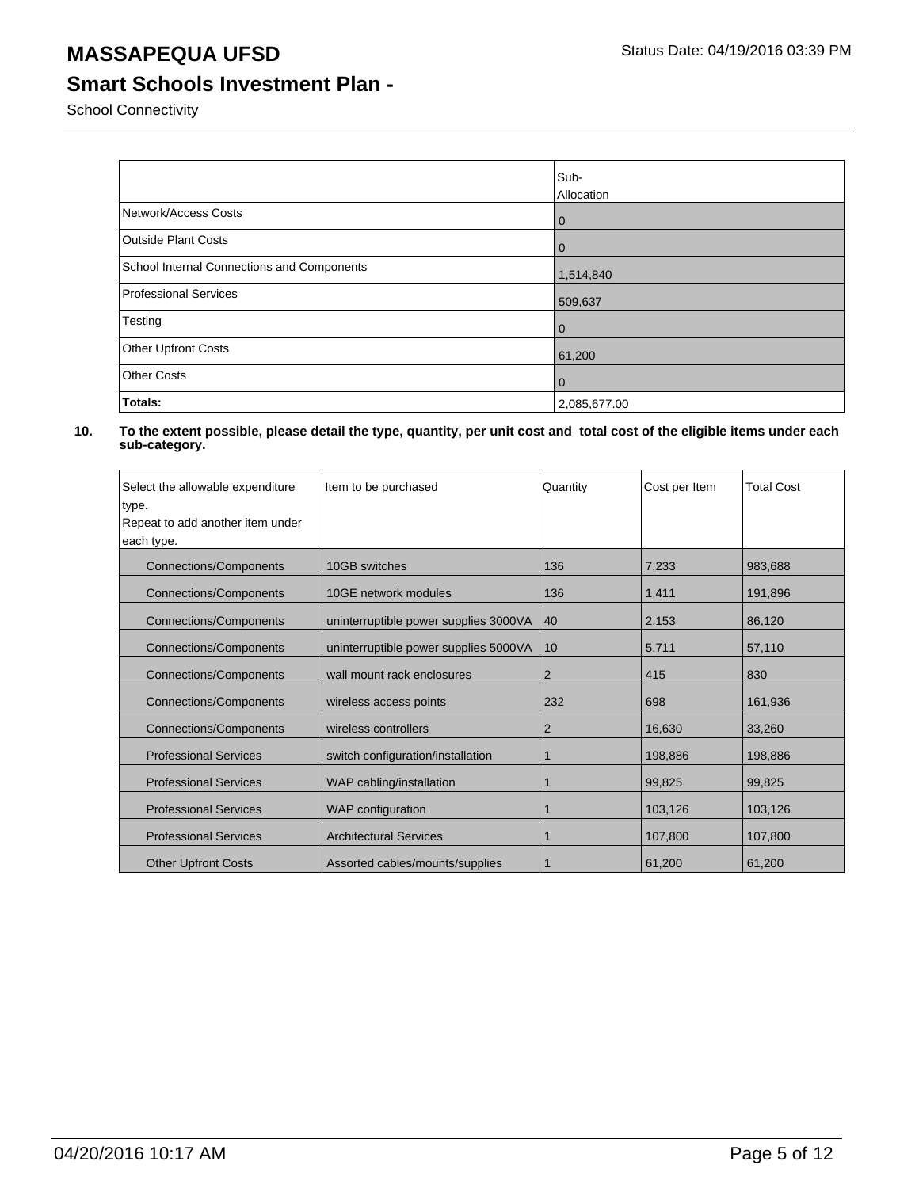## **Smart Schools Investment Plan -**

School Connectivity

|                                            | Sub-<br><b>Allocation</b> |
|--------------------------------------------|---------------------------|
| Network/Access Costs                       | l 0                       |
| <b>Outside Plant Costs</b>                 | l 0                       |
| School Internal Connections and Components | 1,514,840                 |
| Professional Services                      | 509,637                   |
| Testing                                    | $\overline{0}$            |
| Other Upfront Costs                        | 61,200                    |
| <b>Other Costs</b>                         | l 0                       |
| Totals:                                    | 2,085,677.00              |

| Select the allowable expenditure                              | Item to be purchased                  | Quantity | Cost per Item | <b>Total Cost</b> |
|---------------------------------------------------------------|---------------------------------------|----------|---------------|-------------------|
| type.                                                         |                                       |          |               |                   |
| Repeat to add another item under                              |                                       |          |               |                   |
| each type.                                                    |                                       |          |               |                   |
| <b>Connections/Components</b>                                 | 10GB switches                         | 136      | 7,233         | 983,688           |
| <b>Connections/Components</b>                                 | 10GE network modules                  | 136      | 1,411         | 191,896           |
| <b>Connections/Components</b>                                 | uninterruptible power supplies 3000VA | 40       | 2,153         | 86,120            |
| <b>Connections/Components</b>                                 | uninterruptible power supplies 5000VA | 10       | 5,711         | 57,110            |
| <b>Connections/Components</b>                                 | wall mount rack enclosures            | 2        | 415           | 830               |
| <b>Connections/Components</b>                                 | wireless access points                | 232      | 698           | 161,936           |
| <b>Connections/Components</b><br>wireless controllers         |                                       | 2        | 16,630        | 33.260            |
| <b>Professional Services</b>                                  | switch configuration/installation     | 1        | 198,886       | 198,886           |
| <b>Professional Services</b>                                  | WAP cabling/installation              | 1        | 99,825        | 99,825            |
| <b>Professional Services</b>                                  | <b>WAP</b> configuration              |          | 103,126       | 103,126           |
| <b>Architectural Services</b><br><b>Professional Services</b> |                                       |          | 107,800       | 107,800           |
| <b>Other Upfront Costs</b>                                    | Assorted cables/mounts/supplies       |          | 61,200        | 61,200            |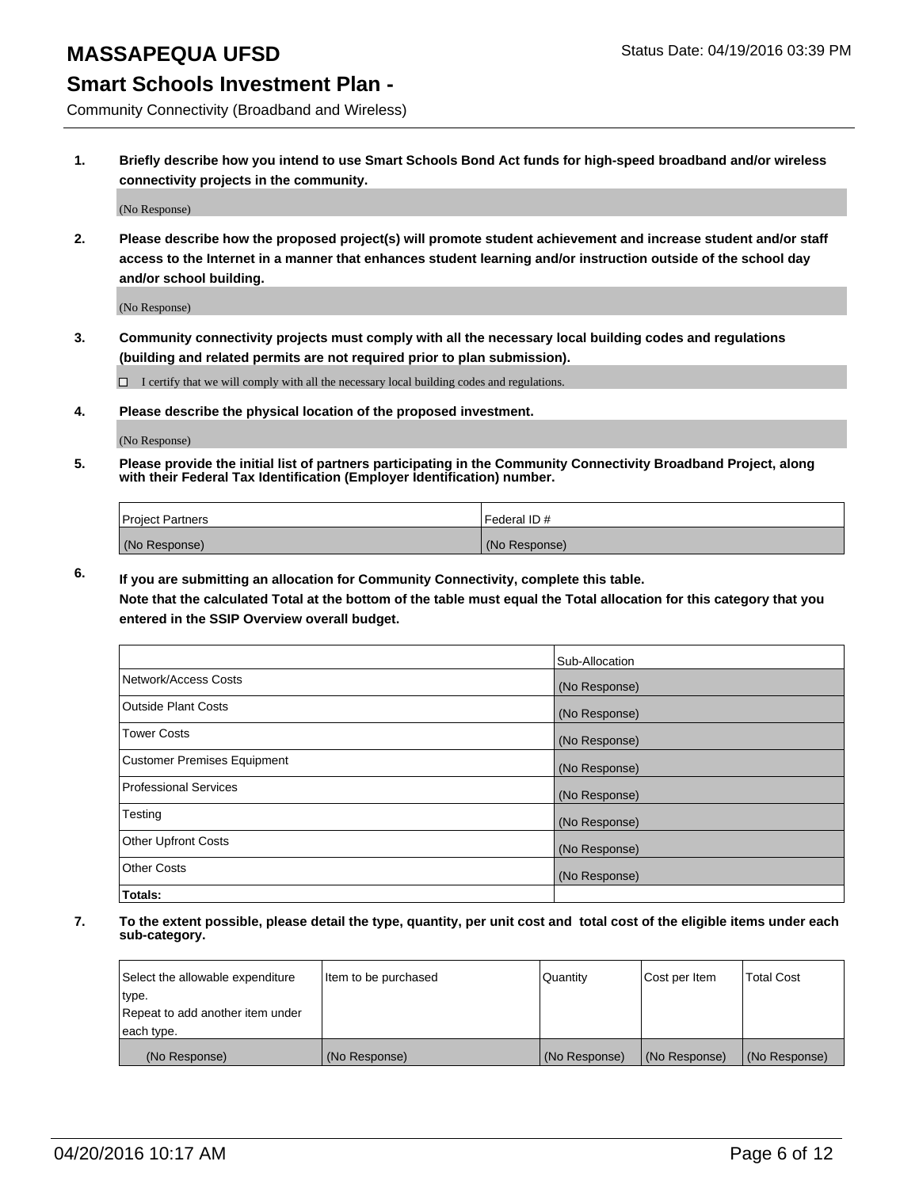## **Smart Schools Investment Plan -**

Community Connectivity (Broadband and Wireless)

**1. Briefly describe how you intend to use Smart Schools Bond Act funds for high-speed broadband and/or wireless connectivity projects in the community.**

(No Response)

**2. Please describe how the proposed project(s) will promote student achievement and increase student and/or staff access to the Internet in a manner that enhances student learning and/or instruction outside of the school day and/or school building.**

(No Response)

**3. Community connectivity projects must comply with all the necessary local building codes and regulations (building and related permits are not required prior to plan submission).**

 $\Box$  I certify that we will comply with all the necessary local building codes and regulations.

**4. Please describe the physical location of the proposed investment.**

(No Response)

**5. Please provide the initial list of partners participating in the Community Connectivity Broadband Project, along with their Federal Tax Identification (Employer Identification) number.**

| <b>Project Partners</b> | <b>IFederal ID#</b> |
|-------------------------|---------------------|
| (No Response)           | (No Response)       |

**6. If you are submitting an allocation for Community Connectivity, complete this table.**

**Note that the calculated Total at the bottom of the table must equal the Total allocation for this category that you entered in the SSIP Overview overall budget.**

|                                    | Sub-Allocation |
|------------------------------------|----------------|
| Network/Access Costs               | (No Response)  |
| Outside Plant Costs                | (No Response)  |
| <b>Tower Costs</b>                 | (No Response)  |
| <b>Customer Premises Equipment</b> | (No Response)  |
| Professional Services              | (No Response)  |
| Testing                            | (No Response)  |
| <b>Other Upfront Costs</b>         | (No Response)  |
| Other Costs                        | (No Response)  |
| Totals:                            |                |

| Select the allowable expenditure | litem to be purchased | Quantity      | Cost per Item | <b>Total Cost</b> |
|----------------------------------|-----------------------|---------------|---------------|-------------------|
| type.                            |                       |               |               |                   |
| Repeat to add another item under |                       |               |               |                   |
| each type.                       |                       |               |               |                   |
| (No Response)                    | (No Response)         | (No Response) | (No Response) | (No Response)     |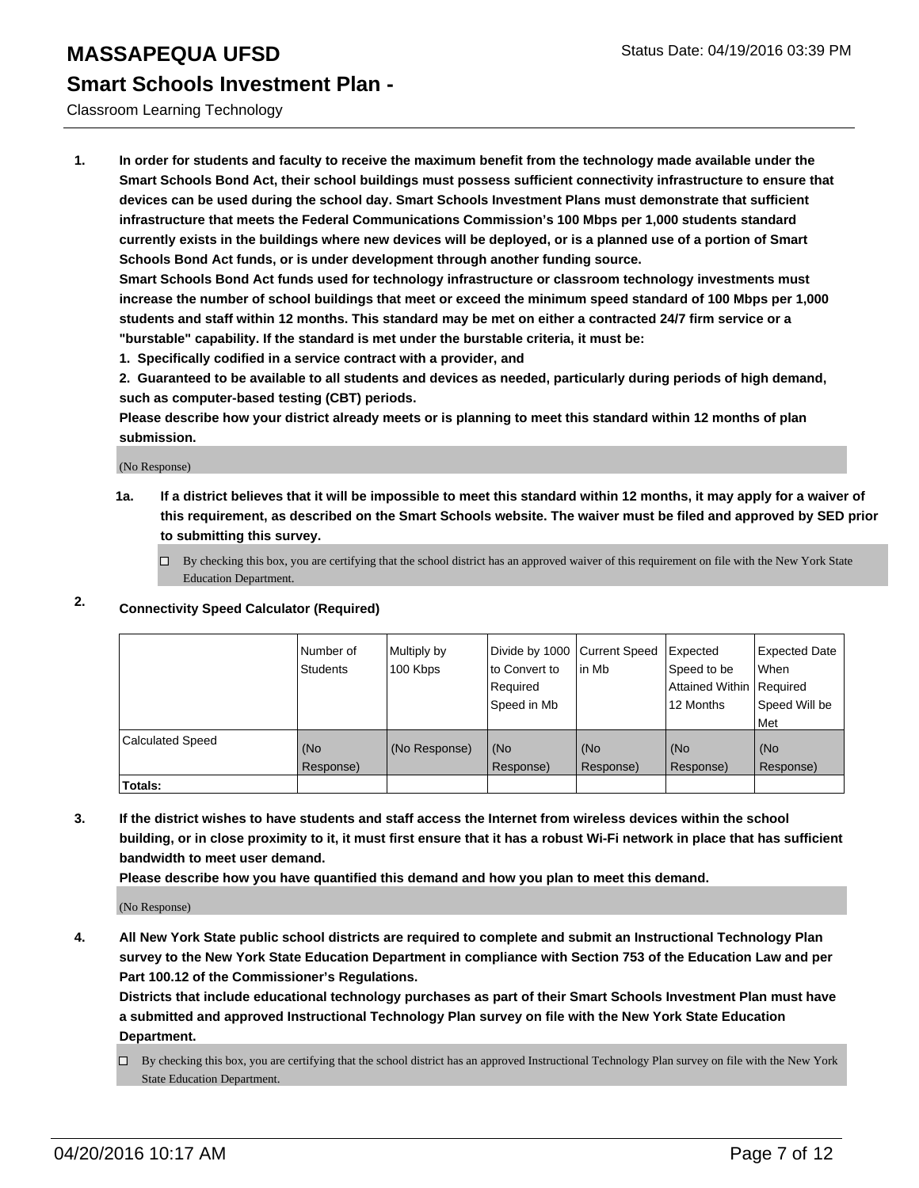#### Classroom Learning Technology

**1. In order for students and faculty to receive the maximum benefit from the technology made available under the Smart Schools Bond Act, their school buildings must possess sufficient connectivity infrastructure to ensure that devices can be used during the school day. Smart Schools Investment Plans must demonstrate that sufficient infrastructure that meets the Federal Communications Commission's 100 Mbps per 1,000 students standard currently exists in the buildings where new devices will be deployed, or is a planned use of a portion of Smart Schools Bond Act funds, or is under development through another funding source.**

**Smart Schools Bond Act funds used for technology infrastructure or classroom technology investments must increase the number of school buildings that meet or exceed the minimum speed standard of 100 Mbps per 1,000 students and staff within 12 months. This standard may be met on either a contracted 24/7 firm service or a "burstable" capability. If the standard is met under the burstable criteria, it must be:**

**1. Specifically codified in a service contract with a provider, and**

**2. Guaranteed to be available to all students and devices as needed, particularly during periods of high demand, such as computer-based testing (CBT) periods.**

**Please describe how your district already meets or is planning to meet this standard within 12 months of plan submission.**

(No Response)

**1a. If a district believes that it will be impossible to meet this standard within 12 months, it may apply for a waiver of this requirement, as described on the Smart Schools website. The waiver must be filed and approved by SED prior to submitting this survey.**

 $\Box$  By checking this box, you are certifying that the school district has an approved waiver of this requirement on file with the New York State Education Department.

## **2. Connectivity Speed Calculator (Required)**

|                         | i Number of<br><b>Students</b> | Multiply by<br>100 Kbps | Divide by 1000 Current Speed<br>to Convert to<br>Required<br>Speed in Mb | in Mb            | Expected<br>Speed to be<br>Attained Within Required<br>12 Months | <b>Expected Date</b><br>l When<br>Speed Will be<br>Met |
|-------------------------|--------------------------------|-------------------------|--------------------------------------------------------------------------|------------------|------------------------------------------------------------------|--------------------------------------------------------|
| <b>Calculated Speed</b> | (No<br>Response)               | (No Response)           | (No<br>Response)                                                         | (No<br>Response) | (No<br>Response)                                                 | (No<br>Response)                                       |
| Totals:                 |                                |                         |                                                                          |                  |                                                                  |                                                        |

**3. If the district wishes to have students and staff access the Internet from wireless devices within the school building, or in close proximity to it, it must first ensure that it has a robust Wi-Fi network in place that has sufficient bandwidth to meet user demand.**

**Please describe how you have quantified this demand and how you plan to meet this demand.**

(No Response)

**4. All New York State public school districts are required to complete and submit an Instructional Technology Plan survey to the New York State Education Department in compliance with Section 753 of the Education Law and per Part 100.12 of the Commissioner's Regulations.**

**Districts that include educational technology purchases as part of their Smart Schools Investment Plan must have a submitted and approved Instructional Technology Plan survey on file with the New York State Education Department.**

 $\Box$  By checking this box, you are certifying that the school district has an approved Instructional Technology Plan survey on file with the New York State Education Department.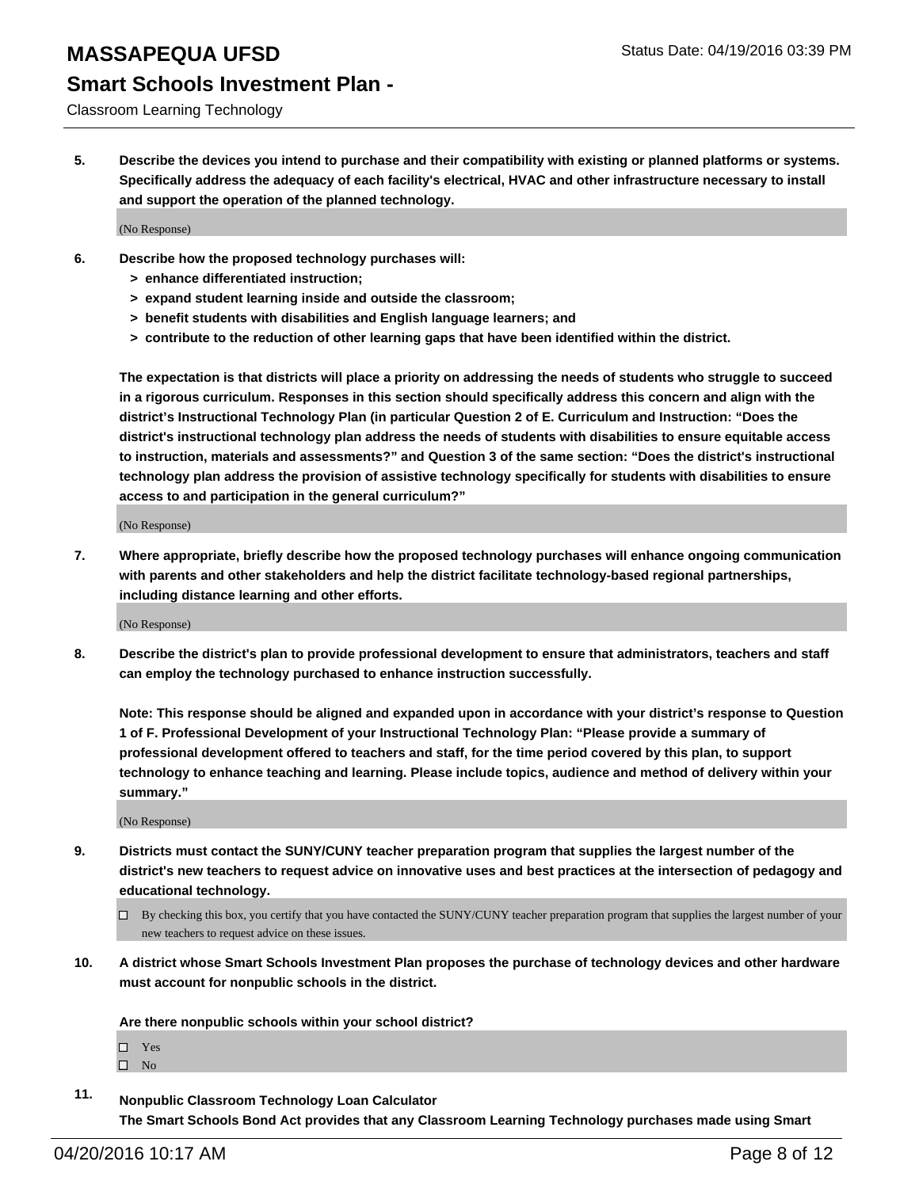# **Smart Schools Investment Plan -**

#### Classroom Learning Technology

**5. Describe the devices you intend to purchase and their compatibility with existing or planned platforms or systems. Specifically address the adequacy of each facility's electrical, HVAC and other infrastructure necessary to install and support the operation of the planned technology.**

(No Response)

- **6. Describe how the proposed technology purchases will:**
	- **> enhance differentiated instruction;**
	- **> expand student learning inside and outside the classroom;**
	- **> benefit students with disabilities and English language learners; and**
	- **> contribute to the reduction of other learning gaps that have been identified within the district.**

**The expectation is that districts will place a priority on addressing the needs of students who struggle to succeed in a rigorous curriculum. Responses in this section should specifically address this concern and align with the district's Instructional Technology Plan (in particular Question 2 of E. Curriculum and Instruction: "Does the district's instructional technology plan address the needs of students with disabilities to ensure equitable access to instruction, materials and assessments?" and Question 3 of the same section: "Does the district's instructional technology plan address the provision of assistive technology specifically for students with disabilities to ensure access to and participation in the general curriculum?"**

(No Response)

**7. Where appropriate, briefly describe how the proposed technology purchases will enhance ongoing communication with parents and other stakeholders and help the district facilitate technology-based regional partnerships, including distance learning and other efforts.**

(No Response)

**8. Describe the district's plan to provide professional development to ensure that administrators, teachers and staff can employ the technology purchased to enhance instruction successfully.**

**Note: This response should be aligned and expanded upon in accordance with your district's response to Question 1 of F. Professional Development of your Instructional Technology Plan: "Please provide a summary of professional development offered to teachers and staff, for the time period covered by this plan, to support technology to enhance teaching and learning. Please include topics, audience and method of delivery within your summary."**

(No Response)

- **9. Districts must contact the SUNY/CUNY teacher preparation program that supplies the largest number of the district's new teachers to request advice on innovative uses and best practices at the intersection of pedagogy and educational technology.**
	- $\Box$  By checking this box, you certify that you have contacted the SUNY/CUNY teacher preparation program that supplies the largest number of your new teachers to request advice on these issues.
- **10. A district whose Smart Schools Investment Plan proposes the purchase of technology devices and other hardware must account for nonpublic schools in the district.**

**Are there nonpublic schools within your school district?**

□ Yes

 $\square$  No

**11. Nonpublic Classroom Technology Loan Calculator The Smart Schools Bond Act provides that any Classroom Learning Technology purchases made using Smart**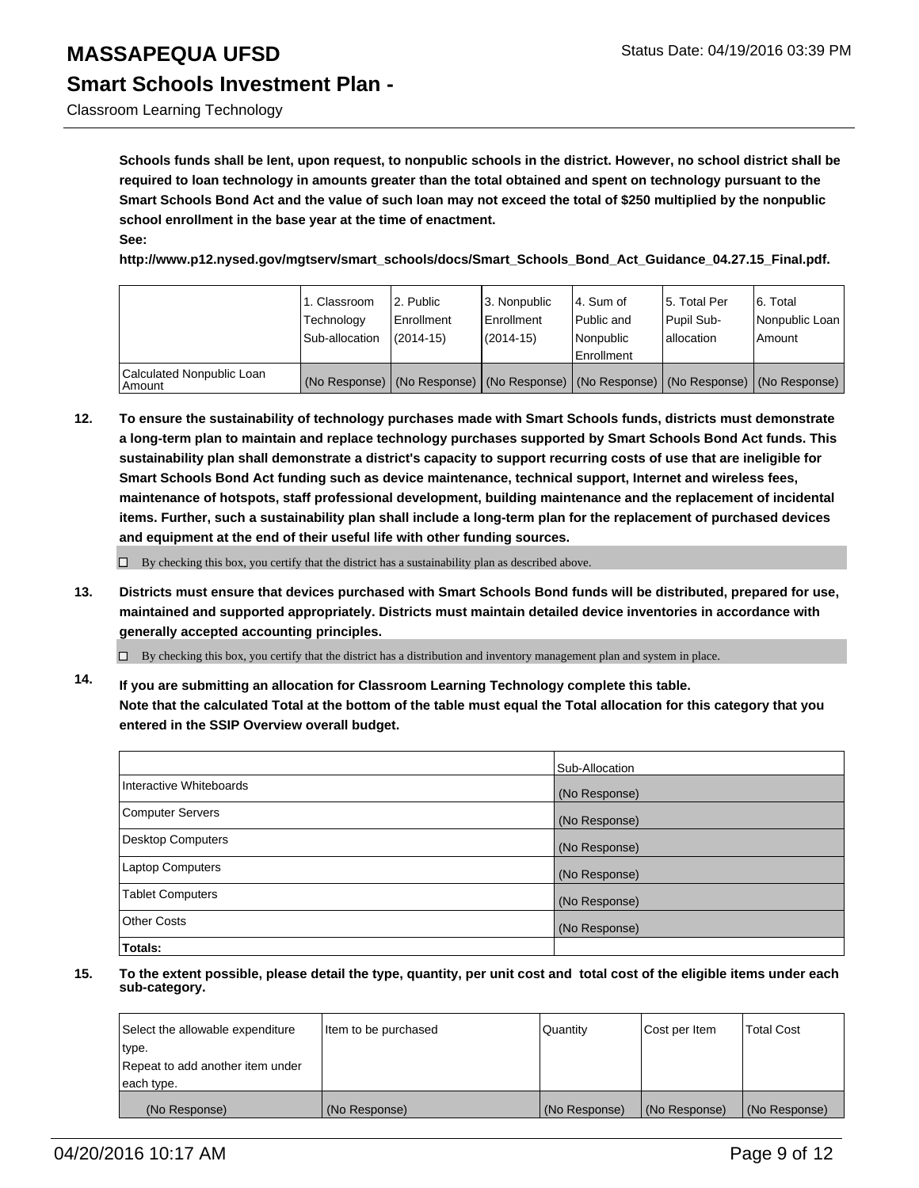Classroom Learning Technology

**Schools funds shall be lent, upon request, to nonpublic schools in the district. However, no school district shall be required to loan technology in amounts greater than the total obtained and spent on technology pursuant to the Smart Schools Bond Act and the value of such loan may not exceed the total of \$250 multiplied by the nonpublic school enrollment in the base year at the time of enactment. See:**

**http://www.p12.nysed.gov/mgtserv/smart\_schools/docs/Smart\_Schools\_Bond\_Act\_Guidance\_04.27.15\_Final.pdf.**

|                                     | 1. Classroom<br>Technology<br>Sub-allocation | 2. Public<br>Enrollment<br>$(2014 - 15)$ | 3. Nonpublic<br><b>Enrollment</b><br>(2014-15)                                                | l 4. Sum of<br>Public and<br>Nonpublic<br>Enrollment | 15. Total Per<br>Pupil Sub-<br>lallocation | 6. Total<br>Nonpublic Loan<br>Amount |
|-------------------------------------|----------------------------------------------|------------------------------------------|-----------------------------------------------------------------------------------------------|------------------------------------------------------|--------------------------------------------|--------------------------------------|
| Calculated Nonpublic Loan<br>Amount |                                              |                                          | (No Response)   (No Response)   (No Response)   (No Response)   (No Response)   (No Response) |                                                      |                                            |                                      |

**12. To ensure the sustainability of technology purchases made with Smart Schools funds, districts must demonstrate a long-term plan to maintain and replace technology purchases supported by Smart Schools Bond Act funds. This sustainability plan shall demonstrate a district's capacity to support recurring costs of use that are ineligible for Smart Schools Bond Act funding such as device maintenance, technical support, Internet and wireless fees, maintenance of hotspots, staff professional development, building maintenance and the replacement of incidental items. Further, such a sustainability plan shall include a long-term plan for the replacement of purchased devices and equipment at the end of their useful life with other funding sources.**

 $\Box$  By checking this box, you certify that the district has a sustainability plan as described above.

**13. Districts must ensure that devices purchased with Smart Schools Bond funds will be distributed, prepared for use, maintained and supported appropriately. Districts must maintain detailed device inventories in accordance with generally accepted accounting principles.**

 $\Box$  By checking this box, you certify that the district has a distribution and inventory management plan and system in place.

**14. If you are submitting an allocation for Classroom Learning Technology complete this table. Note that the calculated Total at the bottom of the table must equal the Total allocation for this category that you entered in the SSIP Overview overall budget.**

|                          | Sub-Allocation |
|--------------------------|----------------|
| Interactive Whiteboards  | (No Response)  |
| <b>Computer Servers</b>  | (No Response)  |
| <b>Desktop Computers</b> | (No Response)  |
| <b>Laptop Computers</b>  | (No Response)  |
| <b>Tablet Computers</b>  | (No Response)  |
| Other Costs              | (No Response)  |
| Totals:                  |                |

| Select the allowable expenditure | Item to be purchased | Quantity      | Cost per Item | <b>Total Cost</b> |
|----------------------------------|----------------------|---------------|---------------|-------------------|
| type.                            |                      |               |               |                   |
| Repeat to add another item under |                      |               |               |                   |
| each type.                       |                      |               |               |                   |
| (No Response)                    | (No Response)        | (No Response) | (No Response) | (No Response)     |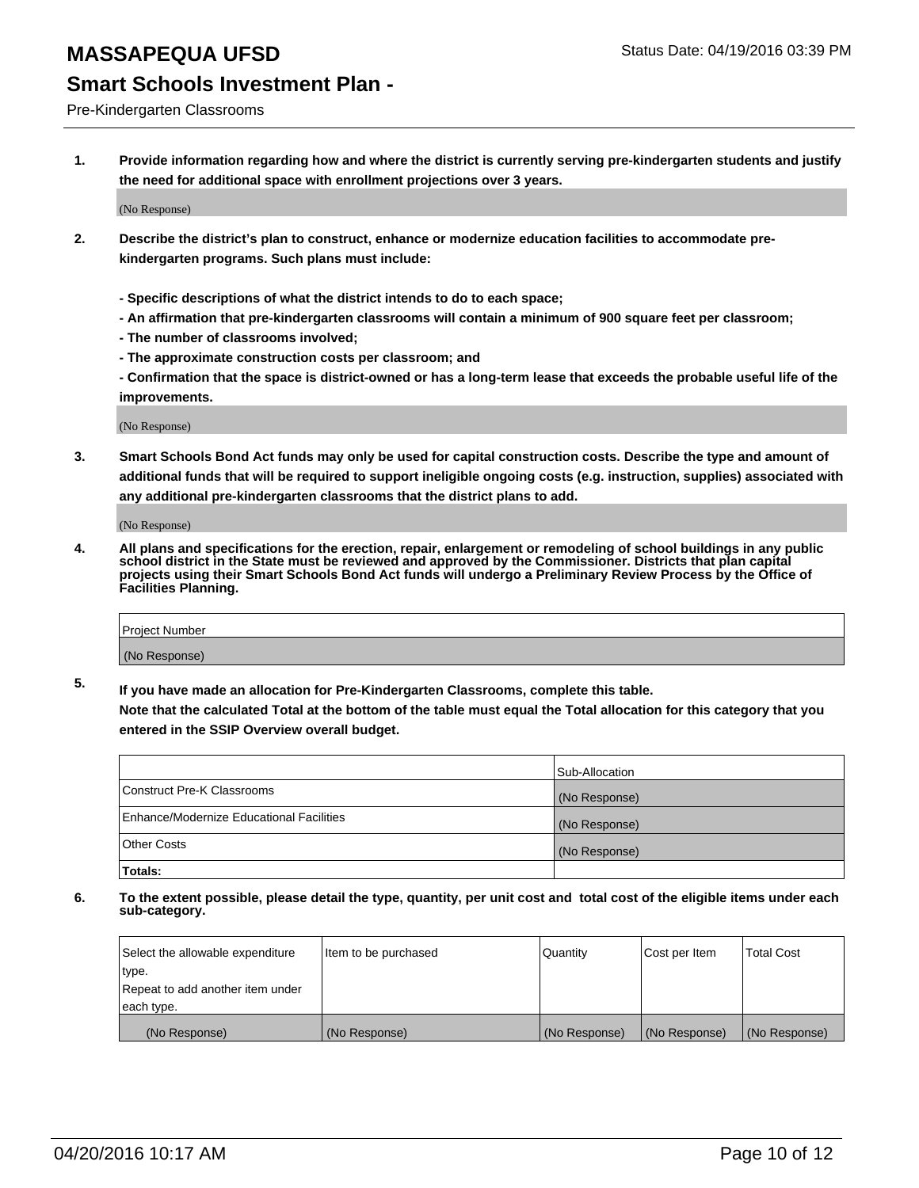#### Pre-Kindergarten Classrooms

**1. Provide information regarding how and where the district is currently serving pre-kindergarten students and justify the need for additional space with enrollment projections over 3 years.**

(No Response)

- **2. Describe the district's plan to construct, enhance or modernize education facilities to accommodate prekindergarten programs. Such plans must include:**
	- **Specific descriptions of what the district intends to do to each space;**
	- **An affirmation that pre-kindergarten classrooms will contain a minimum of 900 square feet per classroom;**
	- **The number of classrooms involved;**
	- **The approximate construction costs per classroom; and**
	- **Confirmation that the space is district-owned or has a long-term lease that exceeds the probable useful life of the improvements.**

(No Response)

**3. Smart Schools Bond Act funds may only be used for capital construction costs. Describe the type and amount of additional funds that will be required to support ineligible ongoing costs (e.g. instruction, supplies) associated with any additional pre-kindergarten classrooms that the district plans to add.**

(No Response)

**4. All plans and specifications for the erection, repair, enlargement or remodeling of school buildings in any public school district in the State must be reviewed and approved by the Commissioner. Districts that plan capital projects using their Smart Schools Bond Act funds will undergo a Preliminary Review Process by the Office of Facilities Planning.**

| Project Number |  |
|----------------|--|
| (No Response)  |  |

**5. If you have made an allocation for Pre-Kindergarten Classrooms, complete this table. Note that the calculated Total at the bottom of the table must equal the Total allocation for this category that you**

**entered in the SSIP Overview overall budget.**

|                                          | Sub-Allocation |
|------------------------------------------|----------------|
| Construct Pre-K Classrooms               | (No Response)  |
| Enhance/Modernize Educational Facilities | (No Response)  |
| Other Costs                              | (No Response)  |
| Totals:                                  |                |

| Select the allowable expenditure | Item to be purchased | Quantity      | Cost per Item | <b>Total Cost</b> |
|----------------------------------|----------------------|---------------|---------------|-------------------|
| type.                            |                      |               |               |                   |
| Repeat to add another item under |                      |               |               |                   |
| each type.                       |                      |               |               |                   |
| (No Response)                    | (No Response)        | (No Response) | (No Response) | (No Response)     |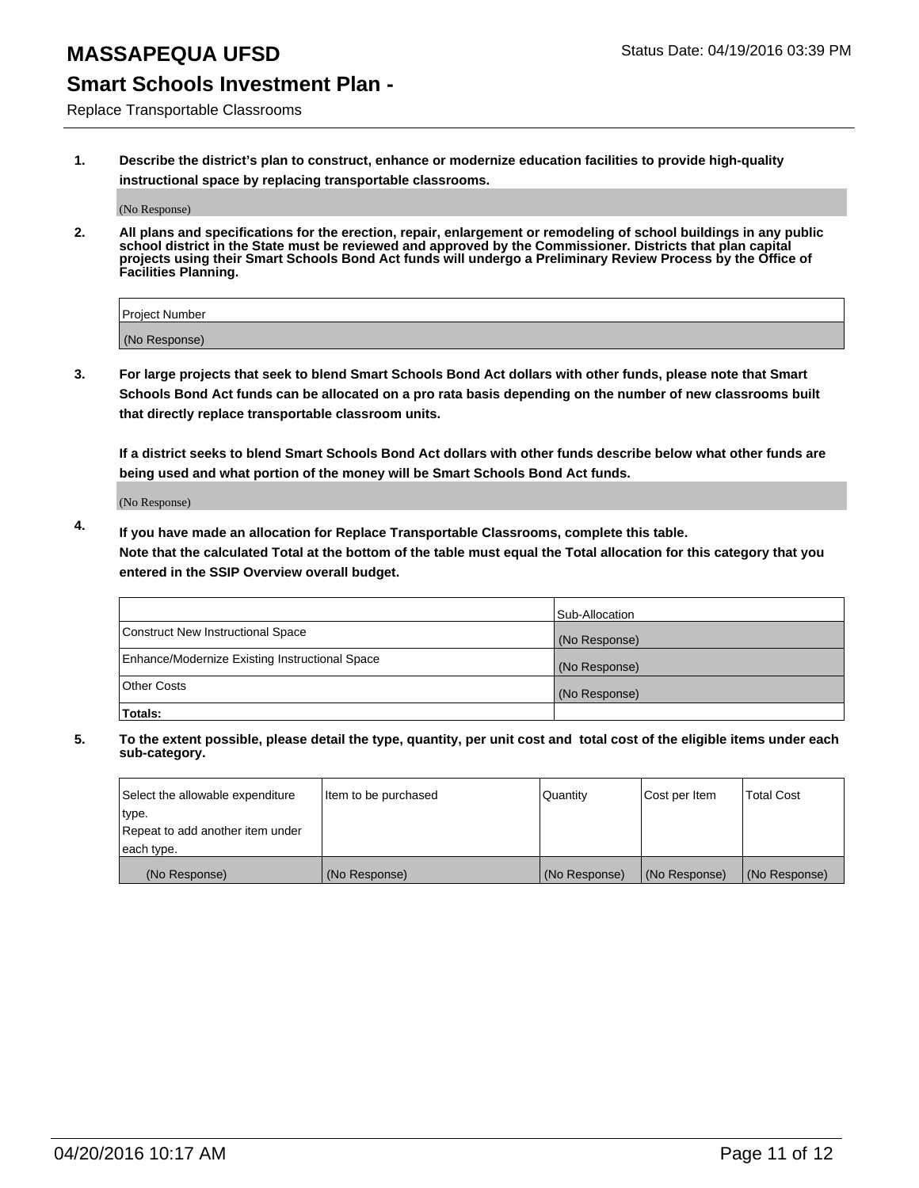## **Smart Schools Investment Plan -**

Replace Transportable Classrooms

**1. Describe the district's plan to construct, enhance or modernize education facilities to provide high-quality instructional space by replacing transportable classrooms.**

(No Response)

**2. All plans and specifications for the erection, repair, enlargement or remodeling of school buildings in any public school district in the State must be reviewed and approved by the Commissioner. Districts that plan capital projects using their Smart Schools Bond Act funds will undergo a Preliminary Review Process by the Office of Facilities Planning.**

| Project Number |  |
|----------------|--|
|                |  |
| (No Response)  |  |

**3. For large projects that seek to blend Smart Schools Bond Act dollars with other funds, please note that Smart Schools Bond Act funds can be allocated on a pro rata basis depending on the number of new classrooms built that directly replace transportable classroom units.**

**If a district seeks to blend Smart Schools Bond Act dollars with other funds describe below what other funds are being used and what portion of the money will be Smart Schools Bond Act funds.**

(No Response)

**4. If you have made an allocation for Replace Transportable Classrooms, complete this table. Note that the calculated Total at the bottom of the table must equal the Total allocation for this category that you entered in the SSIP Overview overall budget.**

|                                                | Sub-Allocation |
|------------------------------------------------|----------------|
| Construct New Instructional Space              | (No Response)  |
| Enhance/Modernize Existing Instructional Space | (No Response)  |
| <b>Other Costs</b>                             | (No Response)  |
| Totals:                                        |                |

| Select the allowable expenditure | Item to be purchased | <b>Quantity</b> | Cost per Item | <b>Total Cost</b> |
|----------------------------------|----------------------|-----------------|---------------|-------------------|
| type.                            |                      |                 |               |                   |
| Repeat to add another item under |                      |                 |               |                   |
| each type.                       |                      |                 |               |                   |
| (No Response)                    | (No Response)        | (No Response)   | (No Response) | (No Response)     |